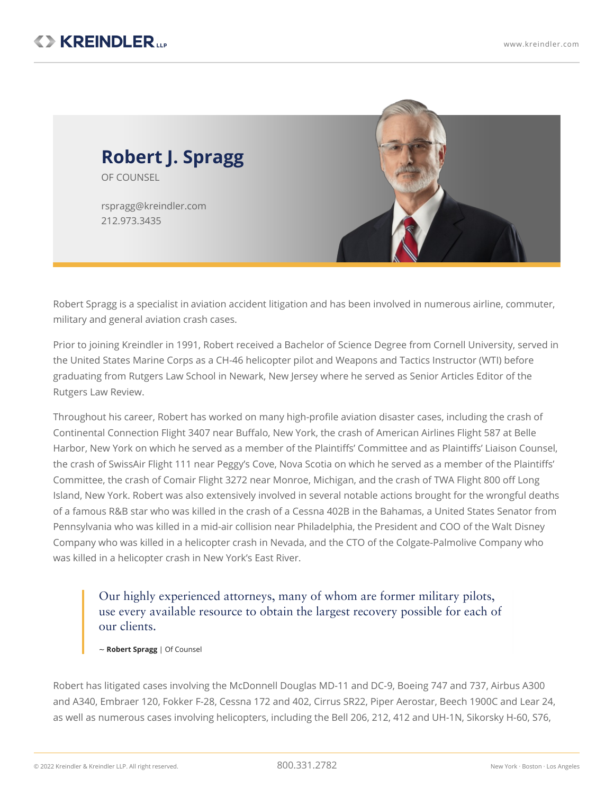

Robert Spragg is a specialist in aviation accident [litigation](https://www.kreindler.com/practices/aviation-accidents) and has been involved in numerous airline, commuter, military and general aviation crash cases.

Prior to joining Kreindler in 1991, Robert received a Bachelor of Science Degree from Cornell University, served in the United States Marine Corps as a CH-46 helicopter pilot and Weapons and Tactics Instructor (WTI) before graduating from Rutgers Law School in Newark, New Jersey where he served as Senior Articles Editor of the Rutgers Law Review.

Throughout his career, Robert has worked on many high-profile aviation disaster cases, including the crash of Continental Connection Flight 3407 near Buffalo, New York, the crash of American Airlines Flight 587 at Belle Harbor, New York on which he served as a member of the Plaintiffs' Committee and as Plaintiffs' Liaison Counsel, the crash of SwissAir Flight 111 near Peggy's Cove, Nova Scotia on which he served as a member of the Plaintiffs' Committee, the crash of Comair Flight 3272 near Monroe, Michigan, and the crash of TWA Flight 800 off Long Island, New York. Robert was also extensively involved in several notable actions brought for the wrongful deaths of a famous R&B star who was killed in the crash of a Cessna 402B in the Bahamas, a United States Senator from Pennsylvania who was killed in a mid-air collision near Philadelphia, the President and COO of the Walt Disney Company who was killed in a helicopter crash in Nevada, and the CTO of the Colgate-Palmolive Company who was killed in a helicopter crash in New York's East River.

Our highly experienced attorneys, many of whom are former military pilots, use every available resource to obtain the largest recovery possible for each of our clients.

~ **Robert Spragg** | Of Counsel

Robert has litigated cases involving the McDonnell Douglas MD-11 and DC-9, Boeing 747 and 737, Airbus A300 and A340, Embraer 120, Fokker F-28, Cessna 172 and 402, Cirrus SR22, Piper Aerostar, Beech 1900C and Lear 24, as well as numerous cases involving helicopters, including the Bell 206, 212, 412 and UH-1N, Sikorsky H-60, S76,